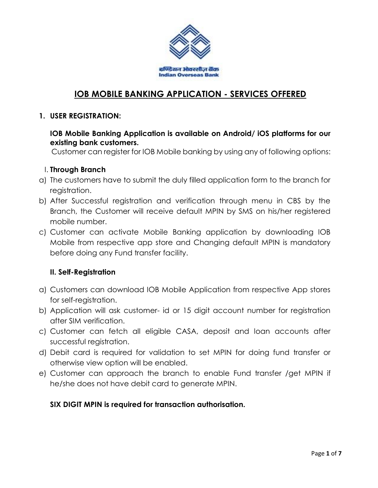

# **IOB MOBILE BANKING APPLICATION - SERVICES OFFERED**

#### **1. USER REGISTRATION:**

#### **IOB Mobile Banking Application is available on Android/ iOS platforms for our existing bank customers.**

Customer can register for IOB Mobile banking by using any of following options:

#### I. **Through Branch**

- a) The customers have to submit the duly filled application form to the branch for registration.
- b) After Successful registration and verification through menu in CBS by the Branch, the Customer will receive default MPIN by SMS on his/her registered mobile number.
- c) Customer can activate Mobile Banking application by downloading IOB Mobile from respective app store and Changing default MPIN is mandatory before doing any Fund transfer facility.

### **II. Self-Registration**

- a) Customers can download IOB Mobile Application from respective App stores for self-registration.
- b) Application will ask customer- id or 15 digit account number for registration after SIM verification.
- c) Customer can fetch all eligible CASA, deposit and loan accounts after successful registration.
- d) Debit card is required for validation to set MPIN for doing fund transfer or otherwise view option will be enabled.
- e) Customer can approach the branch to enable Fund transfer /get MPIN if he/she does not have debit card to generate MPIN.

### **SIX DIGIT MPIN is required for transaction authorisation.**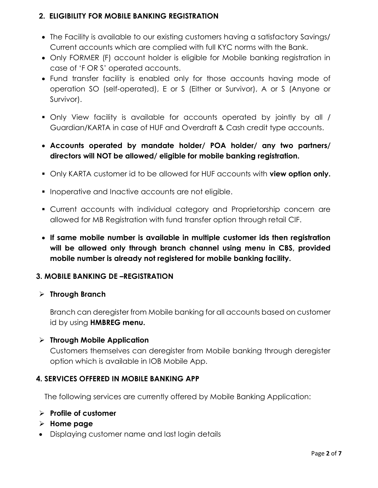### **2. ELIGIBILITY FOR MOBILE BANKING REGISTRATION**

- The Facility is available to our existing customers having a satisfactory Savings/ Current accounts which are complied with full KYC norms with the Bank.
- Only FORMER (F) account holder is eligible for Mobile banking registration in case of 'F OR S' operated accounts.
- Fund transfer facility is enabled only for those accounts having mode of operation SO (self-operated), E or S (Either or Survivor), A or S (Anyone or Survivor).
- Only View facility is available for accounts operated by jointly by all / Guardian/KARTA in case of HUF and Overdraft & Cash credit type accounts.
- **Accounts operated by mandate holder/ POA holder/ any two partners/ directors will NOT be allowed/ eligible for mobile banking registration.**
- Only KARTA customer id to be allowed for HUF accounts with **view option only.**
- **Inoperative and Inactive accounts are not eligible.**
- Current accounts with individual category and Proprietorship concern are allowed for MB Registration with fund transfer option through retail CIF.
- **If same mobile number is available in multiple customer ids then registration will be allowed only through branch channel using menu in CBS, provided mobile number is already not registered for mobile banking facility.**

### **3. MOBILE BANKING DE –REGISTRATION**

#### **Through Branch**

Branch can deregister from Mobile banking for all accounts based on customer id by using **HMBREG menu.**

#### **Through Mobile Application**

Customers themselves can deregister from Mobile banking through deregister option which is available in IOB Mobile App.

#### **4. SERVICES OFFERED IN MOBILE BANKING APP**

The following services are currently offered by Mobile Banking Application:

#### **Profile of customer**

- **Home page**
- Displaying customer name and last login details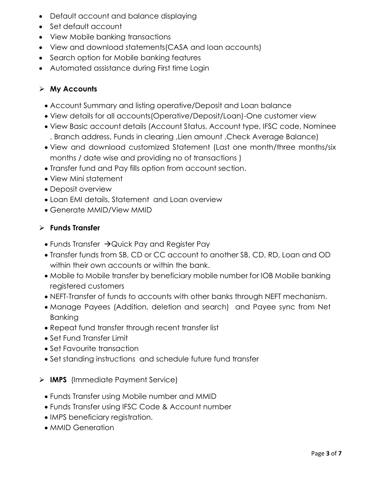- Default account and balance displaying
- Set default account
- View Mobile banking transactions
- View and download statements(CASA and loan accounts)
- Search option for Mobile banking features
- Automated assistance during First time Login

## **My Accounts**

- Account Summary and listing operative/Deposit and Loan balance
- View details for all accounts(Operative/Deposit/Loan)-One customer view
- View Basic account details (Account Status, Account type, IFSC code, Nominee , Branch address, Funds in clearing ,Lien amount ,Check Average Balance)
- View and download customized Statement (Last one month/three months/six months / date wise and providing no of transactions )
- Transfer fund and Pay fills option from account section.
- View Mini statement
- Deposit overview
- Loan EMI details, Statement and Loan overview
- Generate MMID/View MMID

### **Funds Transfer**

- Funds Transfer  $\rightarrow$  Quick Pay and Register Pay
- Transfer funds from SB, CD or CC account to another SB, CD, RD, Loan and OD within their own accounts or within the bank.
- Mobile to Mobile transfer by beneficiary mobile number for IOB Mobile banking registered customers
- NEFT-Transfer of funds to accounts with other banks through NEFT mechanism.
- Manage Payees (Addition, deletion and search) and Payee sync from Net Banking
- Repeat fund transfer through recent transfer list
- Set Fund Transfer Limit
- Set Favourite transaction
- Set standing instructions and schedule future fund transfer
- **IMPS** (Immediate Payment Service)
	- Funds Transfer using Mobile number and MMID
	- Funds Transfer using IFSC Code & Account number
	- IMPS beneficiary registration.
	- MMID Generation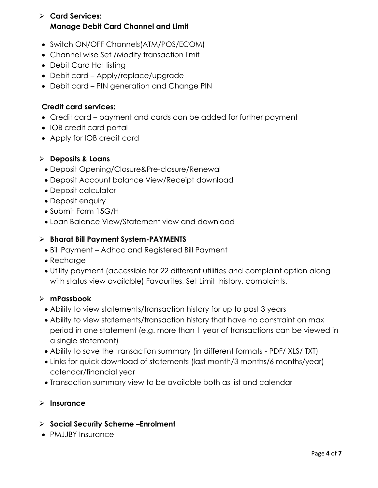# **Card Services: Manage Debit Card Channel and Limit**

- Switch ON/OFF Channels(ATM/POS/ECOM)
- Channel wise Set /Modify transaction limit
- Debit Card Hot listing
- Debit card Apply/replace/upgrade
- Debit card PIN generation and Change PIN

### **Credit card services:**

- Credit card payment and cards can be added for further payment
- IOB credit card portal
- Apply for IOB credit card

### **Deposits & Loans**

- Deposit Opening/Closure&Pre-closure/Renewal
- Deposit Account balance View/Receipt download
- Deposit calculator
- Deposit enquiry
- Submit Form 15G/H
- Loan Balance View/Statement view and download

#### **Bharat Bill Payment System-PAYMENTS**

- Bill Payment Adhoc and Registered Bill Payment
- Recharge
- Utility payment (accessible for 22 different utilities and complaint option along with status view available),Favourites, Set Limit ,history, complaints.

### **mPassbook**

- Ability to view statements/transaction history for up to past 3 years
- Ability to view statements/transaction history that have no constraint on max period in one statement (e.g. more than 1 year of transactions can be viewed in a single statement)
- Ability to save the transaction summary (in different formats PDF/ XLS/ TXT)
- Links for quick download of statements (last month/3 months/6 months/year) calendar/financial year
- Transaction summary view to be available both as list and calendar

### **Insurance**

- **Social Security Scheme –Enrolment**
- PMJJBY Insurance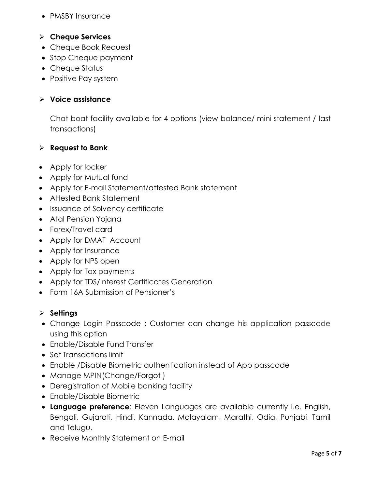• PMSBY Insurance

### **Cheque Services**

- Cheque Book Request
- Stop Cheque payment
- Cheque Status
- Positive Pay system

#### **Voice assistance**

Chat boat facility available for 4 options (view balance/ mini statement / last transactions)

#### **Request to Bank**

- Apply for locker
- Apply for Mutual fund
- Apply for E-mail Statement/attested Bank statement
- Attested Bank Statement
- Issuance of Solvency certificate
- Atal Pension Yojana
- Forex/Travel card
- Apply for DMAT Account
- Apply for Insurance
- Apply for NPS open
- Apply for Tax payments
- Apply for TDS/Interest Certificates Generation
- Form 16A Submission of Pensioner's

#### **Settings**

- Change Login Passcode : Customer can change his application passcode using this option
- Enable/Disable Fund Transfer
- Set Transactions limit
- Enable /Disable Biometric authentication instead of App passcode
- Manage MPIN(Change/Forgot)
- Deregistration of Mobile banking facility
- Enable/Disable Biometric
- **Language preference**: Eleven Languages are available currently i.e. English, Bengali, Gujarati, Hindi, Kannada, Malayalam, Marathi, Odia, Punjabi, Tamil and Telugu.
- Receive Monthly Statement on E-mail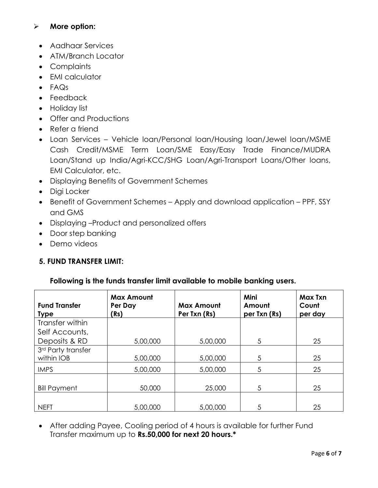### **More option:**

- Aadhaar Services
- ATM/Branch Locator
- Complaints
- EMI calculator
- FAQs
- Feedback
- Holiday list
- Offer and Productions
- Refer a friend
- Loan Services Vehicle loan/Personal loan/Housing loan/Jewel loan/MSME Cash Credit/MSME Term Loan/SME Easy/Easy Trade Finance/MUDRA Loan/Stand up India/Agri-KCC/SHG Loan/Agri-Transport Loans/Other loans, EMI Calculator, etc.
- Displaying Benefits of Government Schemes
- Digi Locker
- Benefit of Government Schemes Apply and download application PPF, SSY and GMS
- Displaying –Product and personalized offers
- Door step banking
- Demo videos

### **5. FUND TRANSFER LIMIT:**

| <b>Fund Transfer</b><br><b>Type</b> | <b>Max Amount</b><br>Per Day<br>(Rs) | <b>Max Amount</b><br>Per Txn (Rs) | Mini<br>Amount<br>per Txn (Rs) | Max Txn<br>Count<br>per day |
|-------------------------------------|--------------------------------------|-----------------------------------|--------------------------------|-----------------------------|
| Transfer within                     |                                      |                                   |                                |                             |
| Self Accounts,                      |                                      |                                   |                                |                             |
| Deposits & RD                       | 5,00,000                             | 5,00,000                          | 5                              | 25                          |
| 3rd Party transfer                  |                                      |                                   |                                |                             |
| within IOB                          | 5,00,000                             | 5,00,000                          | 5                              | 25                          |
| <b>IMPS</b>                         | 5,00,000                             | 5,00,000                          | 5                              | 25                          |
| <b>Bill Payment</b>                 | 50,000                               | 25,000                            | 5                              | 25                          |
|                                     |                                      |                                   |                                |                             |
| <b>NEFT</b>                         | 5,00,000                             | 5,00,000                          | 5                              | 25                          |

### **Following is the funds transfer limit available to mobile banking users.**

 After adding Payee, Cooling period of 4 hours is available for further Fund Transfer maximum up to **Rs.50,000 for next 20 hours.\***